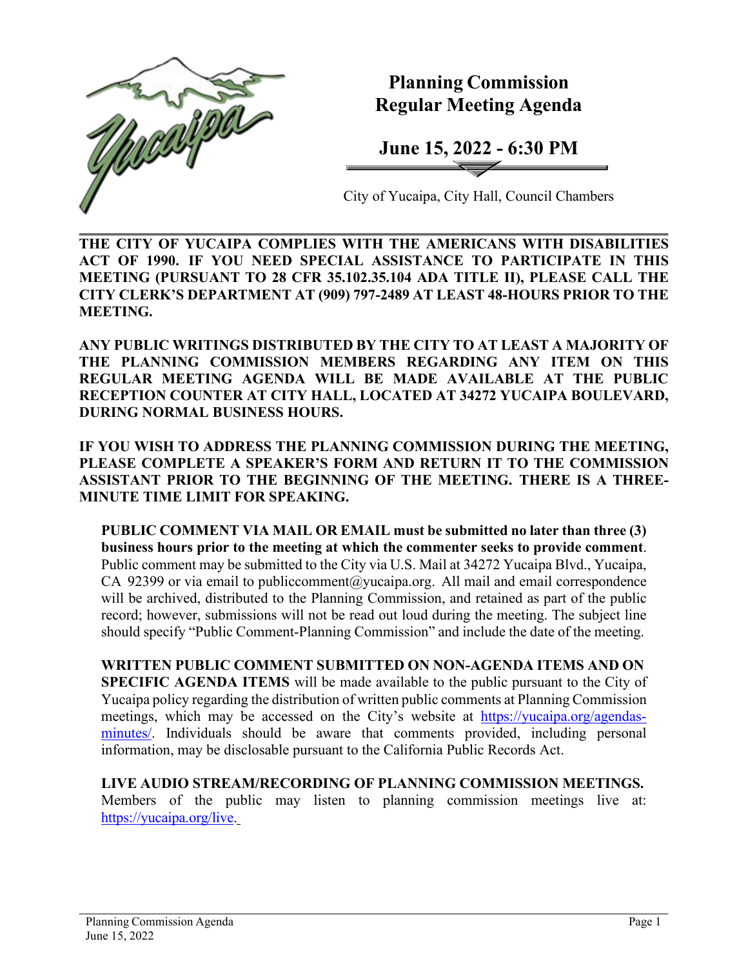

**Planning Commission Regular Meeting Agenda**

**June 15, 2022 - 6:30 PM**

City of Yucaipa, City Hall, Council Chambers

**THE CITY OF YUCAIPA COMPLIES WITH THE AMERICANS WITH DISABILITIES ACT OF 1990. IF YOU NEED SPECIAL ASSISTANCE TO PARTICIPATE IN THIS MEETING (PURSUANT TO 28 CFR 35.102.35.104 ADA TITLE II), PLEASE CALL THE CITY CLERK'S DEPARTMENT AT (909) 797-2489 AT LEAST 48-HOURS PRIOR TO THE MEETING.**

**ANY PUBLIC WRITINGS DISTRIBUTED BY THE CITY TO AT LEAST A MAJORITY OF THE PLANNING COMMISSION MEMBERS REGARDING ANY ITEM ON THIS REGULAR MEETING AGENDA WILL BE MADE AVAILABLE AT THE PUBLIC RECEPTION COUNTER AT CITY HALL, LOCATED AT 34272 YUCAIPA BOULEVARD, DURING NORMAL BUSINESS HOURS.**

**IF YOU WISH TO ADDRESS THE PLANNING COMMISSION DURING THE MEETING, PLEASE COMPLETE A SPEAKER'S FORM AND RETURN IT TO THE COMMISSION ASSISTANT PRIOR TO THE BEGINNING OF THE MEETING. THERE IS A THREE-MINUTE TIME LIMIT FOR SPEAKING.**

**PUBLIC COMMENT VIA MAIL OR EMAIL must be submitted no later than three (3) business hours prior to the meeting at which the commenter seeks to provide comment**. Public comment may be submitted to the City via U.S. Mail at 34272 Yucaipa Blvd., Yucaipa, CA 92399 or via email to [publiccomment@yucaipa.org.](mailto:publiccomment@yucaipa.org) All mail and email correspondence will be archived, distributed to the Planning Commission, and retained as part of the public record; however, submissions will not be read out loud during the meeting. The subject line should specify "Public Comment-Planning Commission" and include the date of the meeting.

**WRITTEN PUBLIC COMMENT SUBMITTED ON NON-AGENDA ITEMS AND ON SPECIFIC AGENDA ITEMS** will be made available to the public pursuant to the City of Yucaipa policy regarding the distribution of written public comments at Planning Commission meetings, which may be accessed on the City's website at [https://yucaipa.org/agendas](https://yucaipa.org/agendas-minutes/)[minutes/.](https://yucaipa.org/agendas-minutes/) Individuals should be aware that comments provided, including personal information, may be disclosable pursuant to the California Public Records Act.

**LIVE AUDIO STREAM/RECORDING OF PLANNING COMMISSION MEETINGS.** Members of the public may listen to planning commission meetings live at: [https://yucaipa.org/live.](https://yucaipa.org/live)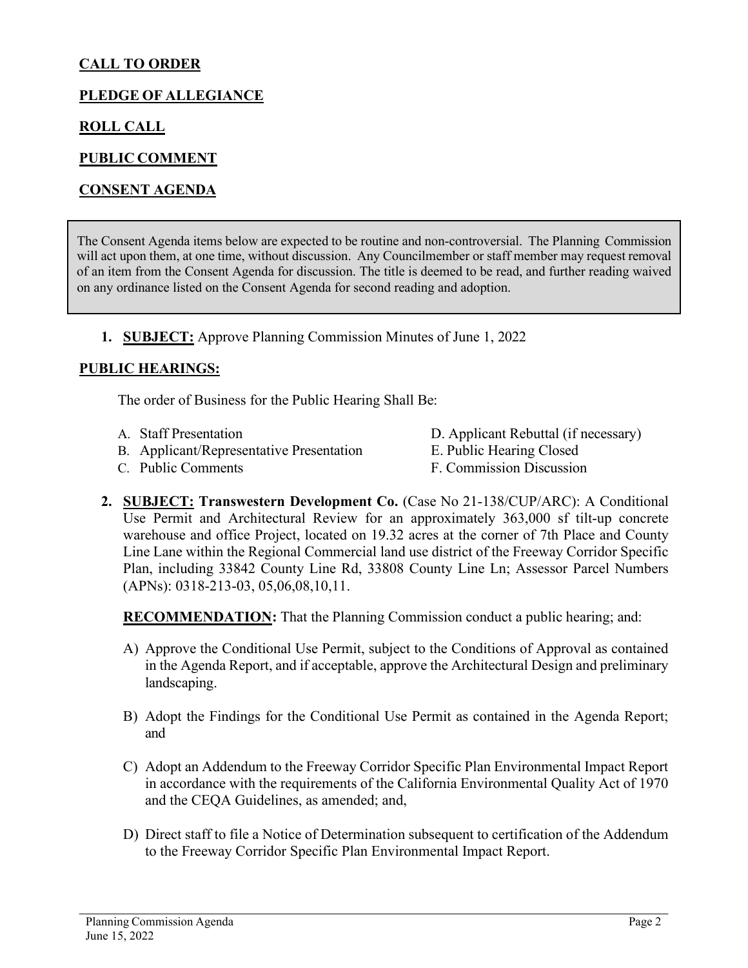# **CALL TO ORDER**

## **PLEDGE OF ALLEGIANCE**

### **ROLL CALL**

### **PUBLIC COMMENT**

### **CONSENT AGENDA**

The Consent Agenda items below are expected to be routine and non-controversial. The Planning Commission will act upon them, at one time, without discussion. Any Councilmember or staff member may request removal of an item from the Consent Agenda for discussion. The title is deemed to be read, and further reading waived on any ordinance listed on the Consent Agenda for second reading and adoption.

#### **1. SUBJECT:** Approve Planning Commission Minutes of June 1, 2022

#### **PUBLIC HEARINGS:**

The order of Business for the Public Hearing Shall Be:

- 
- B. Applicant/Representative Presentation E. Public Hearing Closed
- A. Staff Presentation D. Applicant Rebuttal (if necessary)
	-
- 
- C. Public Comments F. Commission Discussion
- **2. SUBJECT: Transwestern Development Co.** (Case No 21-138/CUP/ARC): A Conditional Use Permit and Architectural Review for an approximately 363,000 sf tilt-up concrete warehouse and office Project, located on 19.32 acres at the corner of 7th Place and County Line Lane within the Regional Commercial land use district of the Freeway Corridor Specific Plan, including 33842 County Line Rd, 33808 County Line Ln; Assessor Parcel Numbers (APNs): 0318-213-03, 05,06,08,10,11.

**RECOMMENDATION:** That the Planning Commission conduct a public hearing; and:

- A) Approve the Conditional Use Permit, subject to the Conditions of Approval as contained in the Agenda Report, and if acceptable, approve the Architectural Design and preliminary landscaping.
- B) Adopt the Findings for the Conditional Use Permit as contained in the Agenda Report; and
- C) Adopt an Addendum to the Freeway Corridor Specific Plan Environmental Impact Report in accordance with the requirements of the California Environmental Quality Act of 1970 and the CEQA Guidelines, as amended; and,
- D) Direct staff to file a Notice of Determination subsequent to certification of the Addendum to the Freeway Corridor Specific Plan Environmental Impact Report.